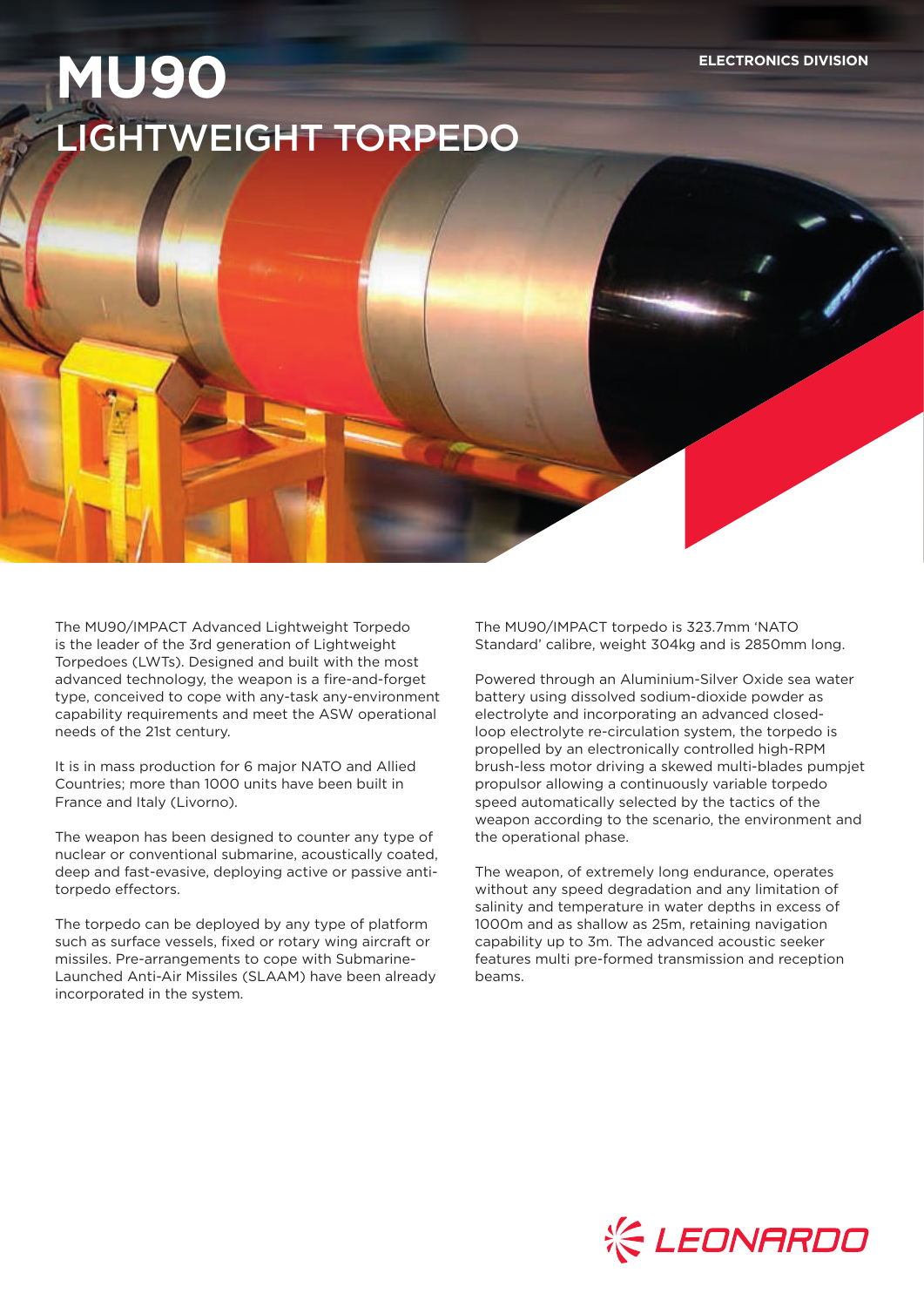## **MU90** LIGHTWEIGHT TORPEDO

The MU90/IMPACT Advanced Lightweight Torpedo is the leader of the 3rd generation of Lightweight Torpedoes (LWTs). Designed and built with the most advanced technology, the weapon is a fire-and-forget type, conceived to cope with any-task any-environment capability requirements and meet the ASW operational needs of the 21st century.

It is in mass production for 6 major NATO and Allied Countries; more than 1000 units have been built in France and Italy (Livorno).

The weapon has been designed to counter any type of nuclear or conventional submarine, acoustically coated, deep and fast-evasive, deploying active or passive antitorpedo effectors.

The torpedo can be deployed by any type of platform such as surface vessels, fixed or rotary wing aircraft or missiles. Pre-arrangements to cope with Submarine-Launched Anti-Air Missiles (SLAAM) have been already incorporated in the system.

The MU90/IMPACT torpedo is 323.7mm 'NATO Standard' calibre, weight 304kg and is 2850mm long.

Powered through an Aluminium-Silver Oxide sea water battery using dissolved sodium-dioxide powder as electrolyte and incorporating an advanced closedloop electrolyte re-circulation system, the torpedo is propelled by an electronically controlled high-RPM brush-less motor driving a skewed multi-blades pumpjet propulsor allowing a continuously variable torpedo speed automatically selected by the tactics of the weapon according to the scenario, the environment and the operational phase.

The weapon, of extremely long endurance, operates without any speed degradation and any limitation of salinity and temperature in water depths in excess of 1000m and as shallow as 25m, retaining navigation capability up to 3m. The advanced acoustic seeker features multi pre-formed transmission and reception beams.